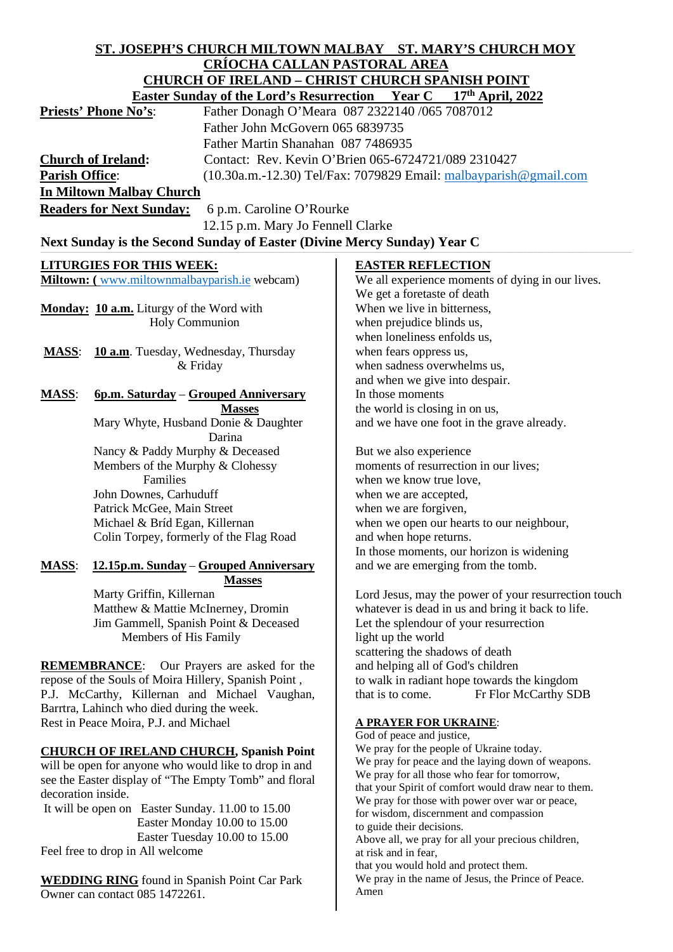# **ST. JOSEPH'S CHURCH MILTOWN MALBAY ST. MARY'S CHURCH MOY CRÍOCHA CALLAN PASTORAL AREA CHURCH OF IRELAND – CHRIST CHURCH SPANISH POINT**

| CHUNCH OF INDDAIW – CHNDT CHUNCH DI ANDHI I OINT<br><b>Easter Sunday of the Lord's Resurrection Year C</b> |                                              |                                                                       |
|------------------------------------------------------------------------------------------------------------|----------------------------------------------|-----------------------------------------------------------------------|
|                                                                                                            |                                              | 17th April, 2022                                                      |
|                                                                                                            | Priests' Phone No's:                         | Father Donagh O'Meara 087 2322140 /065 7087012                        |
|                                                                                                            | Father John McGovern 065 6839735             |                                                                       |
|                                                                                                            | Father Martin Shanahan 087 7486935           |                                                                       |
| <b>Church of Ireland:</b>                                                                                  |                                              | Contact: Rev. Kevin O'Brien 065-6724721/089 2310427                   |
| <b>Parish Office:</b>                                                                                      |                                              | $(10.30a.m.-12.30)$ Tel/Fax: 7079829 Email: $m$ albayparish@gmail.com |
| <b>In Miltown Malbay Church</b>                                                                            |                                              |                                                                       |
| <b>Readers for Next Sunday:</b><br>6 p.m. Caroline O'Rourke                                                |                                              |                                                                       |
|                                                                                                            |                                              |                                                                       |
| 12.15 p.m. Mary Jo Fennell Clarke                                                                          |                                              |                                                                       |
| Next Sunday is the Second Sunday of Easter (Divine Mercy Sunday) Year C                                    |                                              |                                                                       |
|                                                                                                            | <b>LITURGIES FOR THIS WEEK:</b>              | <b>EASTER REFLECTION</b>                                              |
|                                                                                                            | Miltown: (www.miltownmalbayparish.ie webcam) | We all experience moments of dying in our lives.                      |
|                                                                                                            |                                              | We get a foretaste of death                                           |
|                                                                                                            | Monday: 10 a.m. Liturgy of the Word with     | When we live in bitterness,                                           |
|                                                                                                            | <b>Holy Communion</b>                        | when prejudice blinds us,                                             |
|                                                                                                            |                                              | when loneliness enfolds us,                                           |
| <b>MASS:</b>                                                                                               | 10 a.m. Tuesday, Wednesday, Thursday         | when fears oppress us,                                                |
|                                                                                                            | & Friday                                     | when sadness overwhelms us,                                           |
|                                                                                                            |                                              | and when we give into despair.                                        |
| <b>MASS:</b>                                                                                               | 6p.m. Saturday – Grouped Anniversary         | In those moments                                                      |
|                                                                                                            | <b>Masses</b>                                | the world is closing in on us,                                        |
|                                                                                                            | Mary Whyte, Husband Donie & Daughter         | and we have one foot in the grave already.                            |
|                                                                                                            | Darina                                       |                                                                       |
|                                                                                                            | Nancy & Paddy Murphy & Deceased              | But we also experience                                                |
|                                                                                                            | Members of the Murphy & Clohessy             | moments of resurrection in our lives;                                 |
|                                                                                                            | Families                                     | when we know true love,                                               |
|                                                                                                            | John Downes, Carhuduff                       | when we are accepted,                                                 |
|                                                                                                            | Patrick McGee, Main Street                   | when we are forgiven,                                                 |
|                                                                                                            | Michael & Bríd Egan, Killernan               | when we open our hearts to our neighbour,                             |
|                                                                                                            | Colin Torpey, formerly of the Flag Road      | and when hope returns.                                                |
|                                                                                                            |                                              | In those moments, our horizon is widening                             |
| <b>MASS:</b>                                                                                               | 12.15p.m. Sunday – Grouped Anniversary       | and we are emerging from the tomb.                                    |
|                                                                                                            | <b>Masses</b>                                |                                                                       |
|                                                                                                            | Marty Griffin, Killernan                     | Lord Jesus, may the power of your resurrection touch                  |
|                                                                                                            | Matthew & Mattie McInerney, Dromin           | whatever is dead in us and bring it back to life.                     |
|                                                                                                            | Jim Gammell, Spanish Point & Deceased        | Let the splendour of your resurrection                                |
|                                                                                                            | Members of His Family                        | light up the world                                                    |
|                                                                                                            |                                              | scattering the shadows of death                                       |
| Our Prayers are asked for the<br><b>REMEMBRANCE:</b>                                                       |                                              | and helping all of God's children                                     |
| repose of the Souls of Moira Hillery, Spanish Point,                                                       |                                              | to walk in radiant hope towards the kingdom                           |
| P.J. McCarthy, Killernan and Michael Vaughan,                                                              |                                              | that is to come.<br>Fr Flor McCarthy SDB                              |
| Barrtra, Lahinch who died during the week.                                                                 |                                              |                                                                       |

Rest in Peace Moira, P.J. and Michael

# **CHURCH OF IRELAND CHURCH, Spanish Point**

will be open for anyone who would like to drop in and see the Easter display of "The Empty Tomb" and floral decoration inside.

It will be open on Easter Sunday. 11.00 to 15.00 Easter Monday 10.00 to 15.00 Easter Tuesday 10.00 to 15.00 Feel free to drop in All welcome

**WEDDING RING** found in Spanish Point Car Park Owner can contact 085 1472261.

# **A PRAYER FOR UKRAINE**:

God of peace and justice, We pray for the people of Ukraine today. We pray for peace and the laying down of weapons. We pray for all those who fear for tomorrow, that your Spirit of comfort would draw near to them. We pray for those with power over war or peace, for wisdom, discernment and compassion to guide their decisions. Above all, we pray for all your precious children, at risk and in fear, that you would hold and protect them. We pray in the name of Jesus, the Prince of Peace. Amen